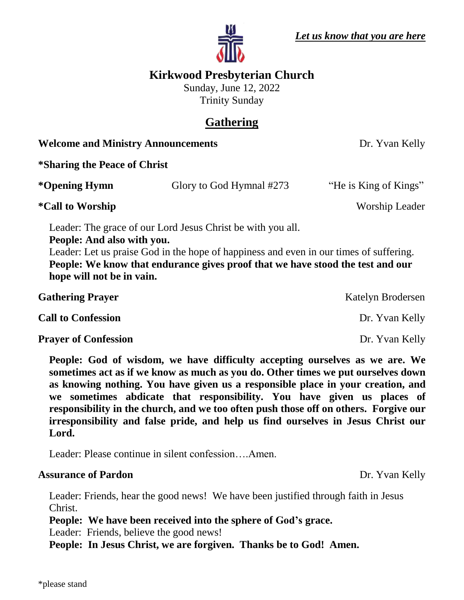

# **Kirkwood Presbyterian Church**

Sunday, June 12, 2022 Trinity Sunday

# **Gathering**

**Welcome and Ministry Announcements** Dr. Yvan Kelly

**\*Sharing the Peace of Christ \*Opening Hymn** Glory to God Hymnal #273 "He is King of Kings" **\*Call to Worship** Worship Leader Leader: The grace of our Lord Jesus Christ be with you all. **People: And also with you.** Leader: Let us praise God in the hope of happiness and even in our times of suffering. **People: We know that endurance gives proof that we have stood the test and our hope will not be in vain. Gathering Prayer** Katelyn Brodersen **Call to Confession** Dr. Yvan Kelly

**Prayer of Confession** Dr. Yvan Kelly

**People: God of wisdom, we have difficulty accepting ourselves as we are. We sometimes act as if we know as much as you do. Other times we put ourselves down as knowing nothing. You have given us a responsible place in your creation, and we sometimes abdicate that responsibility. You have given us places of responsibility in the church, and we too often push those off on others. Forgive our irresponsibility and false pride, and help us find ourselves in Jesus Christ our Lord.**

Leader: Please continue in silent confession….Amen.

### **Assurance of Pardon** Dr. Yvan Kelly

Leader: Friends, hear the good news! We have been justified through faith in Jesus Christ.

**People: We have been received into the sphere of God's grace.**

Leader: Friends, believe the good news!

**People: In Jesus Christ, we are forgiven. Thanks be to God! Amen.**

\*please stand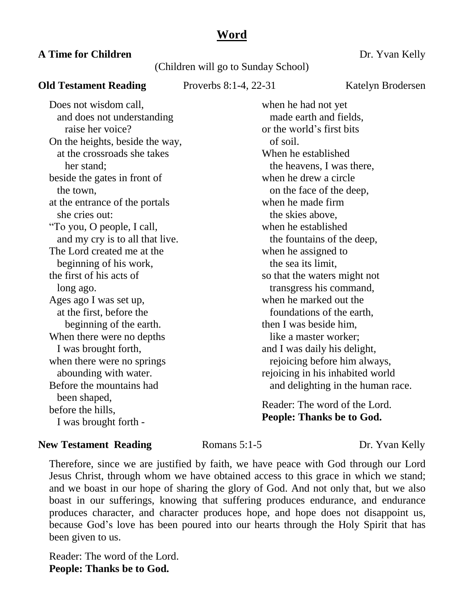### **Word**

#### **A Time for Children** Dr. Yvan Kelly

#### (Children will go to Sunday School)

#### **Old Testament Reading** Proverbs 8:1-4, 22-31 Katelyn Brodersen

Does not wisdom call, and does not understanding raise her voice? On the heights, beside the way, at the crossroads she takes her stand; beside the gates in front of the town, at the entrance of the portals she cries out: "To you, O people, I call, and my cry is to all that live. The Lord created me at the beginning of his work, the first of his acts of long ago. Ages ago I was set up, at the first, before the beginning of the earth. When there were no depths I was brought forth, when there were no springs abounding with water. Before the mountains had been shaped, before the hills, I was brought forth -

when he had not yet made earth and fields, or the world's first bits of soil. When he established the heavens, I was there, when he drew a circle on the face of the deep, when he made firm the skies above, when he established the fountains of the deep, when he assigned to the sea its limit, so that the waters might not transgress his command, when he marked out the foundations of the earth, then I was beside him, like a master worker; and I was daily his delight, rejoicing before him always, rejoicing in his inhabited world and delighting in the human race.

Reader: The word of the Lord. **People: Thanks be to God.**

#### **New Testament Reading 19. Romans 5:1-5 Dr. Yvan Kelly**

Therefore, since we are justified by faith, we have peace with God through our Lord Jesus Christ, through whom we have obtained access to this grace in which we stand; and we boast in our hope of sharing the glory of God. And not only that, but we also boast in our sufferings, knowing that suffering produces endurance, and endurance produces character, and character produces hope, and hope does not disappoint us, because God's love has been poured into our hearts through the Holy Spirit that has been given to us.

Reader: The word of the Lord. **People: Thanks be to God.**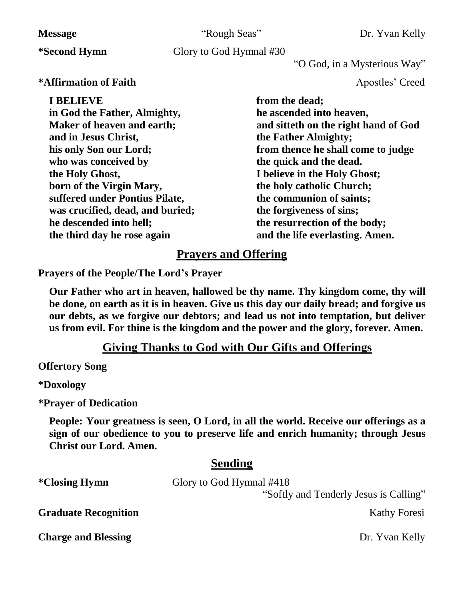| <b>Message</b>                                                                                                                                                                                                                                                                                                                          | "Rough Seas"            | Dr. Yvan Kelly                                                                                                                                                                                                                                                                                                                                                       |  |
|-----------------------------------------------------------------------------------------------------------------------------------------------------------------------------------------------------------------------------------------------------------------------------------------------------------------------------------------|-------------------------|----------------------------------------------------------------------------------------------------------------------------------------------------------------------------------------------------------------------------------------------------------------------------------------------------------------------------------------------------------------------|--|
| <i>*Second Hymn</i>                                                                                                                                                                                                                                                                                                                     | Glory to God Hymnal #30 |                                                                                                                                                                                                                                                                                                                                                                      |  |
|                                                                                                                                                                                                                                                                                                                                         |                         | "O God, in a Mysterious Way"                                                                                                                                                                                                                                                                                                                                         |  |
| *Affirmation of Faith                                                                                                                                                                                                                                                                                                                   |                         | Apostles' Creed                                                                                                                                                                                                                                                                                                                                                      |  |
| <b>I BELIEVE</b><br>in God the Father, Almighty,<br>Maker of heaven and earth;<br>and in Jesus Christ,<br>his only Son our Lord;<br>who was conceived by<br>the Holy Ghost,<br>born of the Virgin Mary,<br>suffered under Pontius Pilate,<br>was crucified, dead, and buried;<br>he descended into hell;<br>the third day he rose again |                         | from the dead;<br>he ascended into heaven,<br>and sitteth on the right hand of God<br>the Father Almighty;<br>from thence he shall come to judge<br>the quick and the dead.<br>I believe in the Holy Ghost;<br>the holy catholic Church;<br>the communion of saints;<br>the forgiveness of sins;<br>the resurrection of the body;<br>and the life everlasting. Amen. |  |
| <b>Prayers and Offering</b>                                                                                                                                                                                                                                                                                                             |                         |                                                                                                                                                                                                                                                                                                                                                                      |  |

**Prayers of the People/The Lord's Prayer** 

**Our Father who art in heaven, hallowed be thy name. Thy kingdom come, thy will be done, on earth as it is in heaven. Give us this day our daily bread; and forgive us our debts, as we forgive our debtors; and lead us not into temptation, but deliver us from evil. For thine is the kingdom and the power and the glory, forever. Amen.**

### **Giving Thanks to God with Our Gifts and Offerings**

**Offertory Song**

**\*Doxology**

**\*Prayer of Dedication**

**People: Your greatness is seen, O Lord, in all the world. Receive our offerings as a sign of our obedience to you to preserve life and enrich humanity; through Jesus Christ our Lord. Amen.**

### **Sending**

| <i>*Closing Hymn</i>        | Glory to God Hymnal #418               |
|-----------------------------|----------------------------------------|
|                             | "Softly and Tenderly Jesus is Calling" |
| <b>Graduate Recognition</b> | <b>Kathy Foresi</b>                    |
| <b>Charge and Blessing</b>  | Dr. Yvan Kelly                         |